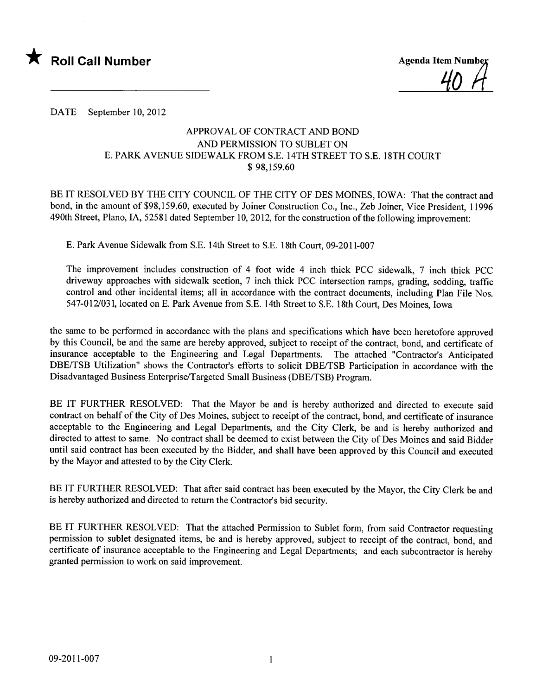

<u>40</u>

DATE September 10, 2012

## APPROVAL OF CONTRACT AND BOND AND PERMISSION TO SUBLET ON E. PARK AVENUE SIDEWALK FROM S.E. 14TH STREET TO S.E. 18TH COURT \$ 98,159.60

BE IT RESOLVED BY THE CITY COUNCIL OF THE CITY OF DES MOINES, IOWA: That the contract and bond, in the amount of \$98,159.60, executed by Joiner Construction Co., Inc., Zeb Joiner, Vice President, 11996 490th Street, Plano, IA, 52581 dated September 10, 2012, for the construction of the following improvement:

E. Park Avenue Sidewalk from S.E. 14th Street to S.E. 18th Court, 09-2011-007

The improvement includes construction of 4 foot wide 4 inch thick PCC sidewalk, 7 inch thick PCC driveway approaches with sidewalk section, 7 inch thick PCC intersection ramps, grading, sodding, traffic control and other incidental items; all in accordance with the contract documents, including Plan File Nos. 547-012/031, located on E. Park Avenue from S.E. 14th Street to S.E. 18th Court, Des Moines, Iowa

the same to be performed in accordance with the plans and specifications which have been heretofore approved by this Council, be and the same are hereby approved, subject to receipt of the contract, bond, and certificate of insurance acceptable to the Engineering and Legal Departments. The attached "Contractor's Anticipated DBE/TSB Utilization" shows the Contractor's efforts to solicit DBE/TSB Participation in accordance with the Disadvantaged Business Enterprise/Targeted Small Business (DBE/TSB) Program.

BE IT FURTHER RESOLVED: That the Mayor be and is hereby authorized and directed to execute said contract on behalf of the City of Des Moines, subject to receipt of the contract, bond, and certificate of insurance acceptable to the Engineering and Legal Departments, and the City Clerk, be and is hereby authorized and directed to attest to same. No contract shall be deemed to exist between the City of Des Moines and said Bidder until said contract has been executed by the Bidder, and shall have been approved by this Council and executed by the Mayor and attested to by the City Clerk.

BE IT FURTHER RESOLVED: That after said contract has been executed by the Mayor, the City Clerk be and is hereby authorized and directed to return the Contractor's bid security.

BE IT FURTHER RESOLVED: That the attached Permission to Sublet form, from said Contractor requesting permission to sublet designated items, be and is hereby approved, subject to receipt of the contract, bond, and certificate of insurance acceptable to the Engineering and Legal Departments; and each subcontractor is hereby granted permission to work on said improvement.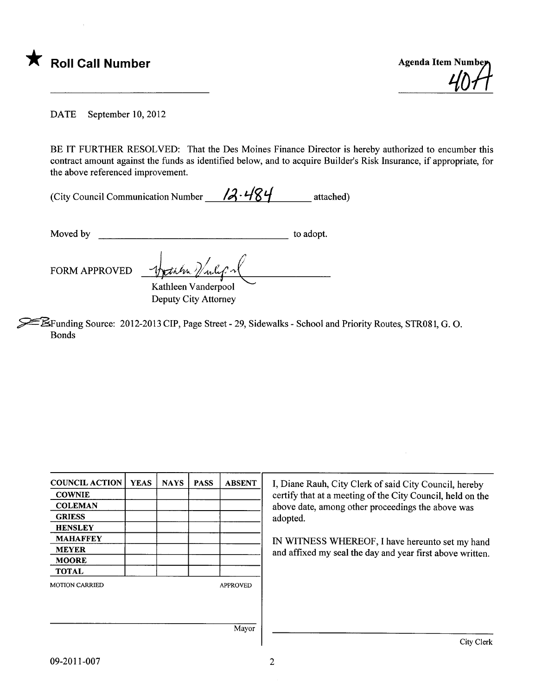

DATE September 10,2012

BE IT FURTHER RESOLVED: That the Des Moines Finance Director is hereby authorized to encumber this contract amount against the funds as identified below, and to acquire Builder's Risk Insurance, if appropriate, for the above referenced improvement.

| (City Council Communication Number | 12.484 | attached) |
|------------------------------------|--------|-----------|
|------------------------------------|--------|-----------|

Moved by to adopt.

FORM APPROVED

Kathleen Vanderpool Deputy City Attorney

~Funding Source: 2012-2013 CIP, Page Street - 29, Sidewalks - School and Priority Routes, STR081, G. O. Bonds

| <b>COUNCIL ACTION</b> | <b>YEAS</b> | <b>NAYS</b> | <b>PASS</b> | <b>ABSENT</b>   | I, Diane Rauh, City Clerk of said City Council, hereby     |
|-----------------------|-------------|-------------|-------------|-----------------|------------------------------------------------------------|
| <b>COWNIE</b>         |             |             |             |                 | certify that at a meeting of the City Council, held on the |
| <b>COLEMAN</b>        |             |             |             |                 | above date, among other proceedings the above was          |
| <b>GRIESS</b>         |             |             |             |                 | adopted.                                                   |
| <b>HENSLEY</b>        |             |             |             |                 |                                                            |
| <b>MAHAFFEY</b>       |             |             |             |                 | IN WITNESS WHEREOF, I have hereunto set my hand            |
| <b>MEYER</b>          |             |             |             |                 | and affixed my seal the day and year first above written.  |
| <b>MOORE</b>          |             |             |             |                 |                                                            |
| <b>TOTAL</b>          |             |             |             |                 |                                                            |
| <b>MOTION CARRIED</b> |             |             |             | <b>APPROVED</b> |                                                            |
|                       |             |             |             |                 |                                                            |
|                       |             |             |             | Mayor           |                                                            |
|                       |             |             |             |                 | City Clerk                                                 |